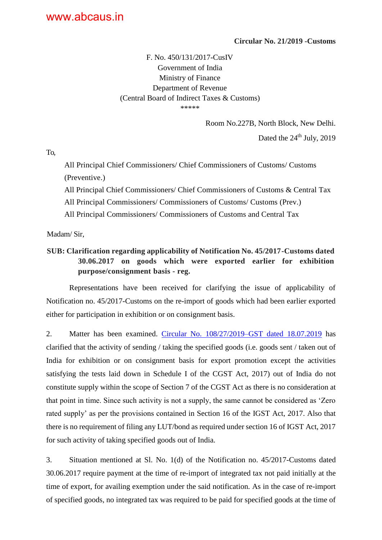## **Circular No. 21/2019 -Customs**

F. No. 450/131/2017-CusIV Government of India Ministry of Finance Department of Revenue (Central Board of Indirect Taxes & Customs)

\*\*\*\*\*

Room No.227B, North Block, New Delhi.

Dated the  $24<sup>th</sup>$  July, 2019

To,

All Principal Chief Commissioners/ Chief Commissioners of Customs/ Customs (Preventive.)

All Principal Chief Commissioners/ Chief Commissioners of Customs & Central Tax

All Principal Commissioners/ Commissioners of Customs/ Customs (Prev.)

All Principal Commissioners/ Commissioners of Customs and Central Tax

Madam/ Sir,

## **SUB: Clarification regarding applicability of Notification No. 45/2017-Customs dated 30.06.2017 on goods which were exported earlier for exhibition purpose/consignment basis - reg.**

Representations have been received for clarifying the issue of applicability of Notification no. 45/2017-Customs on the re-import of goods which had been earlier exported either for participation in exhibition or on consignment basis.

2. Matter has been examined. [Circular No. 108/27/2019–GST dated 18.07.2019](http://www.cbic.gov.in/resources/htdocs-cbec/gst/circular-cgst-108.pdf;jsessionid=555C2A51AC1B319DD82F93F7764DD248) has clarified that the activity of sending / taking the specified goods (i.e. goods sent / taken out of India for exhibition or on consignment basis for export promotion except the activities satisfying the tests laid down in Schedule I of the CGST Act, 2017) out of India do not constitute supply within the scope of Section 7 of the CGST Act as there is no consideration at that point in time. Since such activity is not a supply, the same cannot be considered as 'Zero rated supply' as per the provisions contained in Section 16 of the IGST Act, 2017. Also that there is no requirement of filing any LUT/bond as required under section 16 of IGST Act, 2017 for such activity of taking specified goods out of India.

3. Situation mentioned at Sl. No. 1(d) of the Notification no. 45/2017-Customs dated 30.06.2017 require payment at the time of re-import of integrated tax not paid initially at the time of export, for availing exemption under the said notification. As in the case of re-import of specified goods, no integrated tax was required to be paid for specified goods at the time of